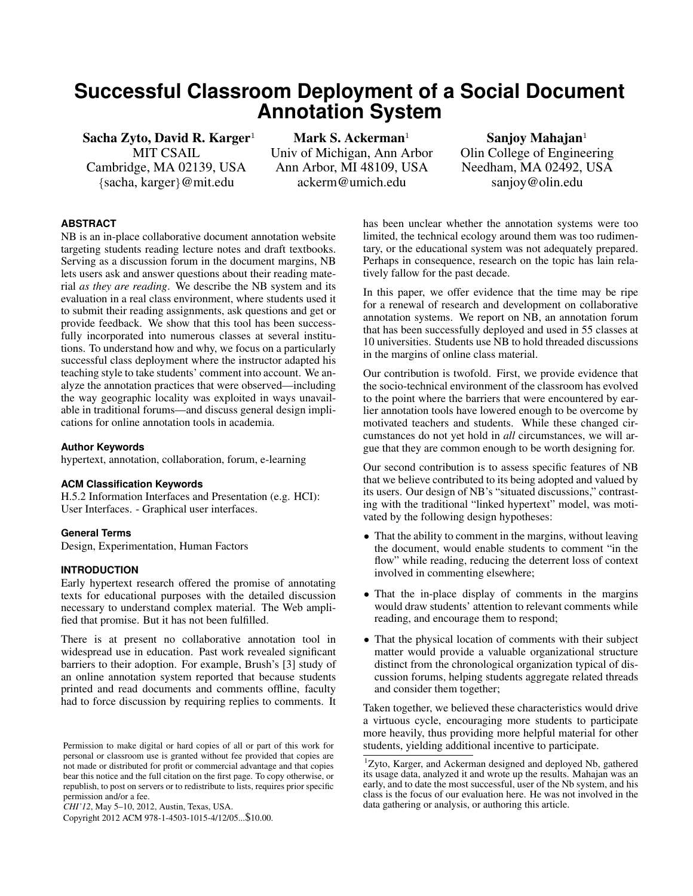# **Successful Classroom Deployment of a Social Document Annotation System**

Sacha Zyto, David R. Karger<sup>1</sup> MIT CSAIL Cambridge, MA 02139, USA {sacha, karger}@mit.edu

Mark S. Ackerman<sup>1</sup> Univ of Michigan, Ann Arbor Ann Arbor, MI 48109, USA ackerm@umich.edu

Sanjoy Mahajan $1$ Olin College of Engineering Needham, MA 02492, USA sanjoy@olin.edu

# **ABSTRACT**

NB is an in-place collaborative document annotation website targeting students reading lecture notes and draft textbooks. Serving as a discussion forum in the document margins, NB lets users ask and answer questions about their reading material *as they are reading*. We describe the NB system and its evaluation in a real class environment, where students used it to submit their reading assignments, ask questions and get or provide feedback. We show that this tool has been successfully incorporated into numerous classes at several institutions. To understand how and why, we focus on a particularly successful class deployment where the instructor adapted his teaching style to take students' comment into account. We analyze the annotation practices that were observed—including the way geographic locality was exploited in ways unavailable in traditional forums—and discuss general design implications for online annotation tools in academia.

#### **Author Keywords**

hypertext, annotation, collaboration, forum, e-learning

#### **ACM Classification Keywords**

H.5.2 Information Interfaces and Presentation (e.g. HCI): User Interfaces. - Graphical user interfaces.

#### **General Terms**

Design, Experimentation, Human Factors

## **INTRODUCTION**

Early hypertext research offered the promise of annotating texts for educational purposes with the detailed discussion necessary to understand complex material. The Web amplified that promise. But it has not been fulfilled.

There is at present no collaborative annotation tool in widespread use in education. Past work revealed significant barriers to their adoption. For example, Brush's [\[3\]](#page-9-0) study of an online annotation system reported that because students printed and read documents and comments offline, faculty had to force discussion by requiring replies to comments. It

has been unclear whether the annotation systems were too limited, the technical ecology around them was too rudimentary, or the educational system was not adequately prepared. Perhaps in consequence, research on the topic has lain relatively fallow for the past decade.

In this paper, we offer evidence that the time may be ripe for a renewal of research and development on collaborative annotation systems. We report on NB, an annotation forum that has been successfully deployed and used in 55 classes at 10 universities. Students use NB to hold threaded discussions in the margins of online class material.

Our contribution is twofold. First, we provide evidence that the socio-technical environment of the classroom has evolved to the point where the barriers that were encountered by earlier annotation tools have lowered enough to be overcome by motivated teachers and students. While these changed circumstances do not yet hold in *all* circumstances, we will argue that they are common enough to be worth designing for.

Our second contribution is to assess specific features of NB that we believe contributed to its being adopted and valued by its users. Our design of NB's "situated discussions," contrasting with the traditional "linked hypertext" model, was motivated by the following design hypotheses:

- That the ability to comment in the margins, without leaving the document, would enable students to comment "in the flow" while reading, reducing the deterrent loss of context involved in commenting elsewhere;
- That the in-place display of comments in the margins would draw students' attention to relevant comments while reading, and encourage them to respond;
- That the physical location of comments with their subject matter would provide a valuable organizational structure distinct from the chronological organization typical of discussion forums, helping students aggregate related threads and consider them together;

Taken together, we believed these characteristics would drive a virtuous cycle, encouraging more students to participate more heavily, thus providing more helpful material for other students, yielding additional incentive to participate.

Permission to make digital or hard copies of all or part of this work for personal or classroom use is granted without fee provided that copies are not made or distributed for profit or commercial advantage and that copies bear this notice and the full citation on the first page. To copy otherwise, or republish, to post on servers or to redistribute to lists, requires prior specific permission and/or a fee.

*CHI'12*, May 5–10, 2012, Austin, Texas, USA.

Copyright 2012 ACM 978-1-4503-1015-4/12/05...\$10.00.

<sup>1</sup>Zyto, Karger, and Ackerman designed and deployed Nb, gathered its usage data, analyzed it and wrote up the results. Mahajan was an early, and to date the most successful, user of the Nb system, and his class is the focus of our evaluation here. He was not involved in the data gathering or analysis, or authoring this article.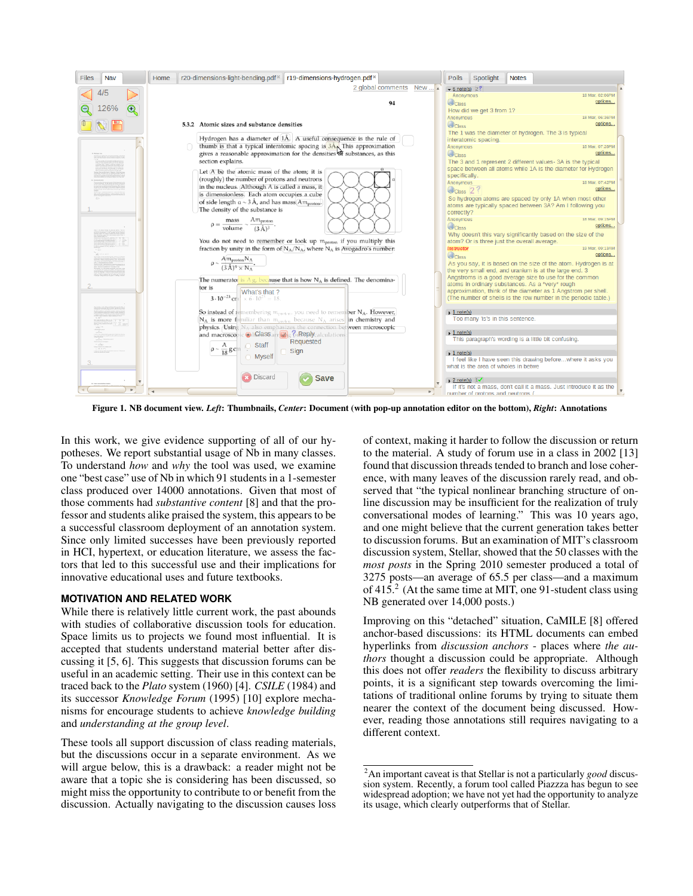

<span id="page-1-1"></span>Figure 1. NB document view. *Left*: Thumbnails, *Center*: Document (with pop-up annotation editor on the bottom), *Right*: Annotations

In this work, we give evidence supporting of all of our hypotheses. We report substantial usage of Nb in many classes. To understand *how* and *why* the tool was used, we examine one "best case" use of Nb in which 91 students in a 1-semester class produced over 14000 annotations. Given that most of those comments had *substantive content* [\[8\]](#page-9-1) and that the professor and students alike praised the system, this appears to be a successful classroom deployment of an annotation system. Since only limited successes have been previously reported in HCI, hypertext, or education literature, we assess the factors that led to this successful use and their implications for innovative educational uses and future textbooks.

## **MOTIVATION AND RELATED WORK**

While there is relatively little current work, the past abounds with studies of collaborative discussion tools for education. Space limits us to projects we found most influential. It is accepted that students understand material better after discussing it [\[5,](#page-9-2) [6\]](#page-9-3). This suggests that discussion forums can be useful in an academic setting. Their use in this context can be traced back to the *Plato* system (1960) [\[4\]](#page-9-4). *CSILE* (1984) and its successor *Knowledge Forum* (1995) [\[10\]](#page-9-5) explore mechanisms for encourage students to achieve *knowledge building* and *understanding at the group level*.

These tools all support discussion of class reading materials, but the discussions occur in a separate environment. As we will argue below, this is a drawback: a reader might not be aware that a topic she is considering has been discussed, so might miss the opportunity to contribute to or benefit from the discussion. Actually navigating to the discussion causes loss

of context, making it harder to follow the discussion or return to the material. A study of forum use in a class in 2002 [\[13\]](#page-9-6) found that discussion threads tended to branch and lose coherence, with many leaves of the discussion rarely read, and observed that "the typical nonlinear branching structure of online discussion may be insufficient for the realization of truly conversational modes of learning." This was 10 years ago, and one might believe that the current generation takes better to discussion forums. But an examination of MIT's classroom discussion system, Stellar, showed that the 50 classes with the *most posts* in the Spring 2010 semester produced a total of 3275 posts—an average of 65.5 per class—and a maximum of  $415<sup>2</sup>$  $415<sup>2</sup>$  $415<sup>2</sup>$  (At the same time at MIT, one 91-student class using NB generated over 14,000 posts.)

Improving on this "detached" situation, CaMILE [\[8\]](#page-9-1) offered anchor-based discussions: its HTML documents can embed hyperlinks from *discussion anchors* - places where *the authors* thought a discussion could be appropriate. Although this does not offer *readers* the flexibility to discuss arbitrary points, it is a significant step towards overcoming the limitations of traditional online forums by trying to situate them nearer the context of the document being discussed. However, reading those annotations still requires navigating to a different context.

<span id="page-1-0"></span><sup>2</sup>An important caveat is that Stellar is not a particularly *good* discussion system. Recently, a forum tool called Piazzza has begun to see widespread adoption; we have not yet had the opportunity to analyze its usage, which clearly outperforms that of Stellar.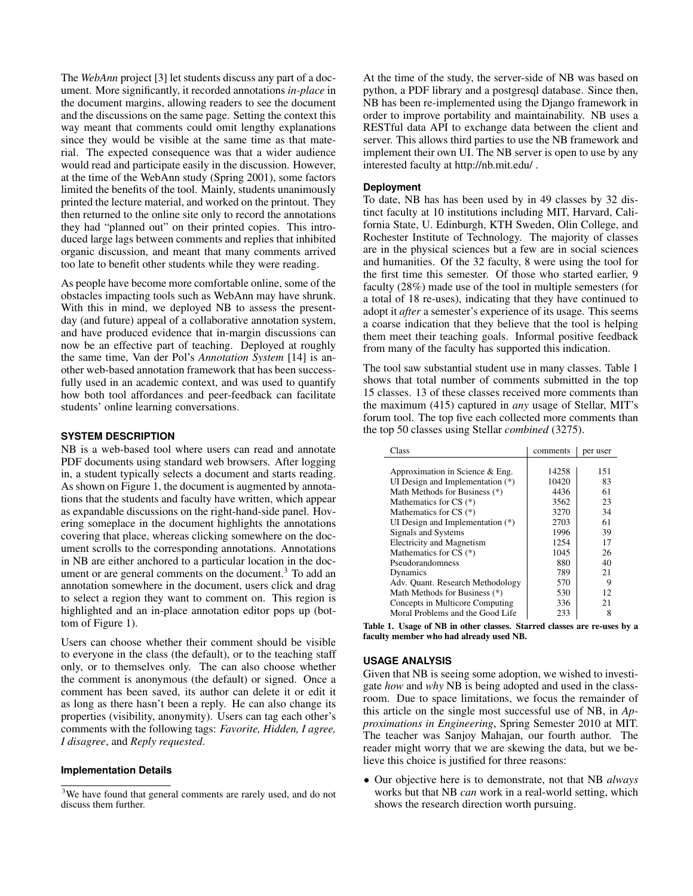The *WebAnn* project [\[3\]](#page-9-0) let students discuss any part of a document. More significantly, it recorded annotations *in-place* in the document margins, allowing readers to see the document and the discussions on the same page. Setting the context this way meant that comments could omit lengthy explanations since they would be visible at the same time as that material. The expected consequence was that a wider audience would read and participate easily in the discussion. However, at the time of the WebAnn study (Spring 2001), some factors limited the benefits of the tool. Mainly, students unanimously printed the lecture material, and worked on the printout. They then returned to the online site only to record the annotations they had "planned out" on their printed copies. This introduced large lags between comments and replies that inhibited organic discussion, and meant that many comments arrived too late to benefit other students while they were reading.

As people have become more comfortable online, some of the obstacles impacting tools such as WebAnn may have shrunk. With this in mind, we deployed NB to assess the presentday (and future) appeal of a collaborative annotation system, and have produced evidence that in-margin discussions can now be an effective part of teaching. Deployed at roughly the same time, Van der Pol's *Annotation System* [\[14\]](#page-9-7) is another web-based annotation framework that has been successfully used in an academic context, and was used to quantify how both tool affordances and peer-feedback can facilitate students' online learning conversations.

# **SYSTEM DESCRIPTION**

NB is a web-based tool where users can read and annotate PDF documents using standard web browsers. After logging in, a student typically selects a document and starts reading. As shown on Figure [1,](#page-1-1) the document is augmented by annotations that the students and faculty have written, which appear as expandable discussions on the right-hand-side panel. Hovering someplace in the document highlights the annotations covering that place, whereas clicking somewhere on the document scrolls to the corresponding annotations. Annotations in NB are either anchored to a particular location in the doc-ument or are general comments on the document.<sup>[3](#page-2-0)</sup> To add an annotation somewhere in the document, users click and drag to select a region they want to comment on. This region is highlighted and an in-place annotation editor pops up (bottom of Figure [1\)](#page-1-1).

Users can choose whether their comment should be visible to everyone in the class (the default), or to the teaching staff only, or to themselves only. The can also choose whether the comment is anonymous (the default) or signed. Once a comment has been saved, its author can delete it or edit it as long as there hasn't been a reply. He can also change its properties (visibility, anonymity). Users can tag each other's comments with the following tags: *Favorite, Hidden, I agree, I disagree*, and *Reply requested*.

## **Implementation Details**

At the time of the study, the server-side of NB was based on python, a PDF library and a postgresql database. Since then, NB has been re-implemented using the Django framework in order to improve portability and maintainability. NB uses a RESTful data API to exchange data between the client and server. This allows third parties to use the NB framework and implement their own UI. The NB server is open to use by any interested faculty at http://nb.mit.edu/ .

#### **Deployment**

To date, NB has has been used by in 49 classes by 32 distinct faculty at 10 institutions including MIT, Harvard, California State, U. Edinburgh, KTH Sweden, Olin College, and Rochester Institute of Technology. The majority of classes are in the physical sciences but a few are in social sciences and humanities. Of the 32 faculty, 8 were using the tool for the first time this semester. Of those who started earlier, 9 faculty (28%) made use of the tool in multiple semesters (for a total of 18 re-uses), indicating that they have continued to adopt it *after* a semester's experience of its usage. This seems a coarse indication that they believe that the tool is helping them meet their teaching goals. Informal positive feedback from many of the faculty has supported this indication.

The tool saw substantial student use in many classes. Table [1](#page-2-1) shows that total number of comments submitted in the top 15 classes. 13 of these classes received more comments than the maximum (415) captured in *any* usage of Stellar, MIT's forum tool. The top five each collected more comments than the top 50 classes using Stellar *combined* (3275).

| Class                              | comments | per user |
|------------------------------------|----------|----------|
|                                    |          |          |
| Approximation in Science & Eng.    | 14258    | 151      |
| UI Design and Implementation $(*)$ | 10420    | 83       |
| Math Methods for Business (*)      | 4436     | 61       |
| Mathematics for $CS$ $(*)$         | 3562     | 23       |
| Mathematics for $CS$ $(*)$         | 3270     | 34       |
| UI Design and Implementation $(*)$ | 2703     | 61       |
| Signals and Systems                | 1996     | 39       |
| <b>Electricity and Magnetism</b>   | 1254     | 17       |
| Mathematics for CS $(*)$           | 1045     | 26       |
| Pseudorandomness                   | 880      | 40       |
| Dynamics                           | 789      | 21       |
| Adv. Quant. Research Methodology   | 570      | 9        |
| Math Methods for Business (*)      | 530      | 12       |
| Concepts in Multicore Computing    | 336      | 21       |
| Moral Problems and the Good Life   | 233      | 8        |

<span id="page-2-1"></span>Table 1. Usage of NB in other classes. Starred classes are re-uses by a faculty member who had already used NB.

## <span id="page-2-2"></span>**USAGE ANALYSIS**

Given that NB is seeing some adoption, we wished to investigate *how* and *why* NB is being adopted and used in the classroom. Due to space limitations, we focus the remainder of this article on the single most successful use of NB, in *Approximations in Engineering*, Spring Semester 2010 at MIT. The teacher was Sanjoy Mahajan, our fourth author. The reader might worry that we are skewing the data, but we believe this choice is justified for three reasons:

• Our objective here is to demonstrate, not that NB *always* works but that NB *can* work in a real-world setting, which shows the research direction worth pursuing.

<span id="page-2-0"></span><sup>&</sup>lt;sup>3</sup>We have found that general comments are rarely used, and do not discuss them further.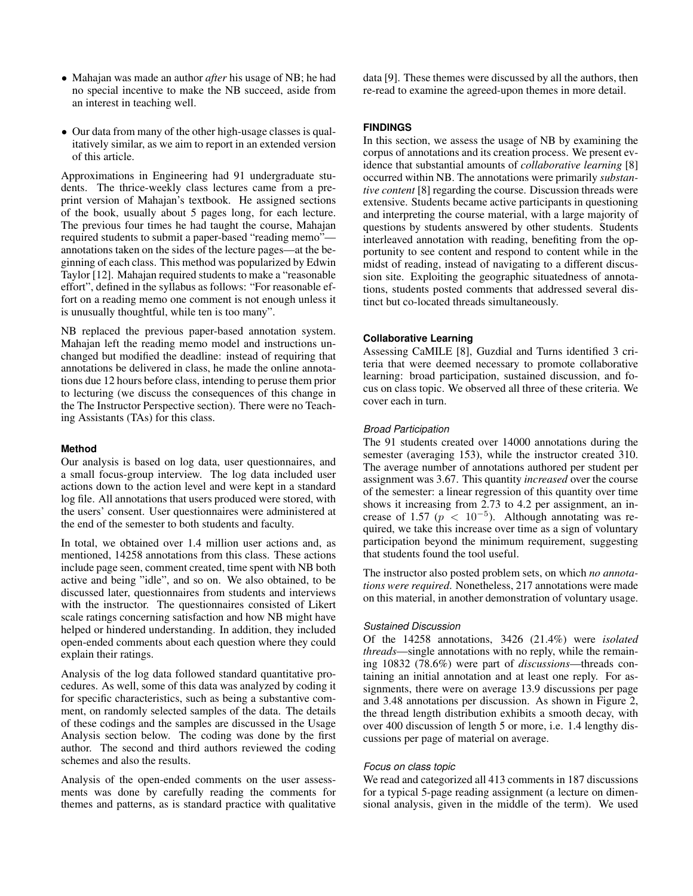- Mahajan was made an author *after* his usage of NB; he had no special incentive to make the NB succeed, aside from an interest in teaching well.
- Our data from many of the other high-usage classes is qualitatively similar, as we aim to report in an extended version of this article.

Approximations in Engineering had 91 undergraduate students. The thrice-weekly class lectures came from a preprint version of Mahajan's textbook. He assigned sections of the book, usually about 5 pages long, for each lecture. The previous four times he had taught the course, Mahajan required students to submit a paper-based "reading memo" annotations taken on the sides of the lecture pages—at the beginning of each class. This method was popularized by Edwin Taylor [\[12\]](#page-9-8). Mahajan required students to make a "reasonable effort", defined in the syllabus as follows: "For reasonable effort on a reading memo one comment is not enough unless it is unusually thoughtful, while ten is too many".

NB replaced the previous paper-based annotation system. Mahajan left the reading memo model and instructions unchanged but modified the deadline: instead of requiring that annotations be delivered in class, he made the online annotations due 12 hours before class, intending to peruse them prior to lecturing (we discuss the consequences of this change in the [The Instructor Perspective](#page-7-0) section). There were no Teaching Assistants (TAs) for this class.

# **Method**

Our analysis is based on log data, user questionnaires, and a small focus-group interview. The log data included user actions down to the action level and were kept in a standard log file. All annotations that users produced were stored, with the users' consent. User questionnaires were administered at the end of the semester to both students and faculty.

In total, we obtained over 1.4 million user actions and, as mentioned, 14258 annotations from this class. These actions include page seen, comment created, time spent with NB both active and being "idle", and so on. We also obtained, to be discussed later, questionnaires from students and interviews with the instructor. The questionnaires consisted of Likert scale ratings concerning satisfaction and how NB might have helped or hindered understanding. In addition, they included open-ended comments about each question where they could explain their ratings.

Analysis of the log data followed standard quantitative procedures. As well, some of this data was analyzed by coding it for specific characteristics, such as being a substantive comment, on randomly selected samples of the data. The details of these codings and the samples are discussed in the [Usage](#page-2-2) [Analysis](#page-2-2) section below. The coding was done by the first author. The second and third authors reviewed the coding schemes and also the results.

Analysis of the open-ended comments on the user assessments was done by carefully reading the comments for themes and patterns, as is standard practice with qualitative data [\[9\]](#page-9-9). These themes were discussed by all the authors, then re-read to examine the agreed-upon themes in more detail.

# **FINDINGS**

In this section, we assess the usage of NB by examining the corpus of annotations and its creation process. We present evidence that substantial amounts of *collaborative learning* [\[8\]](#page-9-1) occurred within NB. The annotations were primarily *substantive content* [\[8\]](#page-9-1) regarding the course. Discussion threads were extensive. Students became active participants in questioning and interpreting the course material, with a large majority of questions by students answered by other students. Students interleaved annotation with reading, benefiting from the opportunity to see content and respond to content while in the midst of reading, instead of navigating to a different discussion site. Exploiting the geographic situatedness of annotations, students posted comments that addressed several distinct but co-located threads simultaneously.

## **Collaborative Learning**

Assessing CaMILE [\[8\]](#page-9-1), Guzdial and Turns identified 3 criteria that were deemed necessary to promote collaborative learning: broad participation, sustained discussion, and focus on class topic. We observed all three of these criteria. We cover each in turn.

## *Broad Participation*

The 91 students created over 14000 annotations during the semester (averaging 153), while the instructor created 310. The average number of annotations authored per student per assignment was 3.67. This quantity *increased* over the course of the semester: a linear regression of this quantity over time shows it increasing from 2.73 to 4.2 per assignment, an increase of 1.57 ( $p < 10^{-5}$ ). Although annotating was required, we take this increase over time as a sign of voluntary participation beyond the minimum requirement, suggesting that students found the tool useful.

The instructor also posted problem sets, on which *no annotations were required*. Nonetheless, 217 annotations were made on this material, in another demonstration of voluntary usage.

## *Sustained Discussion*

Of the 14258 annotations, 3426 (21.4%) were *isolated threads*—single annotations with no reply, while the remaining 10832 (78.6%) were part of *discussions*—threads containing an initial annotation and at least one reply. For assignments, there were on average 13.9 discussions per page and 3.48 annotations per discussion. As shown in Figure [2,](#page-4-0) the thread length distribution exhibits a smooth decay, with over 400 discussion of length 5 or more, i.e. 1.4 lengthy discussions per page of material on average.

## *Focus on class topic*

We read and categorized all 413 comments in 187 discussions for a typical 5-page reading assignment (a lecture on dimensional analysis, given in the middle of the term). We used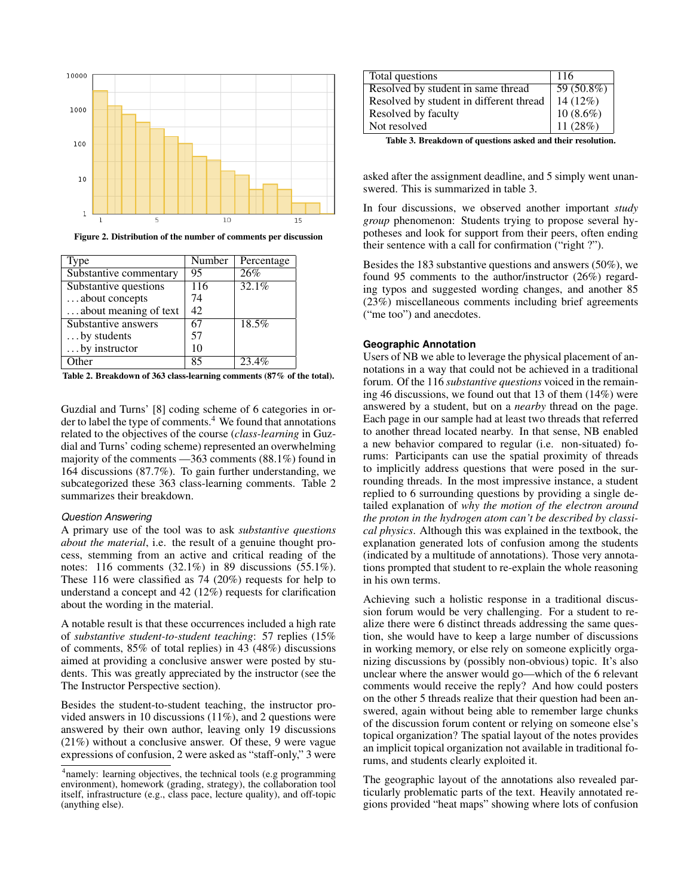

<span id="page-4-0"></span>Figure 2. Distribution of the number of comments per discussion

| Type                   | Number           | Percentage |
|------------------------|------------------|------------|
| Substantive commentary | 95               | 26%        |
| Substantive questions  | $\overline{116}$ | 32.1%      |
| about concepts         | 74               |            |
| about meaning of text  | 42               |            |
| Substantive answers    | 67               | 18.5%      |
| by students            | 57               |            |
| by instructor          | 10               |            |
|                        | R۶               | 23.4       |

<span id="page-4-2"></span>Table 2. Breakdown of 363 class-learning comments (87% of the total).

Guzdial and Turns' [\[8\]](#page-9-1) coding scheme of 6 categories in order to label the type of comments. $4$  We found that annotations related to the objectives of the course (*class-learning* in Guzdial and Turns' coding scheme) represented an overwhelming majority of the comments —363 comments (88.1%) found in 164 discussions (87.7%). To gain further understanding, we subcategorized these 363 class-learning comments. Table [2](#page-4-2) summarizes their breakdown.

## *Question Answering*

A primary use of the tool was to ask *substantive questions about the material*, i.e. the result of a genuine thought process, stemming from an active and critical reading of the notes: 116 comments (32.1%) in 89 discussions (55.1%). These 116 were classified as 74 (20%) requests for help to understand a concept and 42 (12%) requests for clarification about the wording in the material.

A notable result is that these occurrences included a high rate of *substantive student-to-student teaching*: 57 replies (15% of comments, 85% of total replies) in 43 (48%) discussions aimed at providing a conclusive answer were posted by students. This was greatly appreciated by the instructor (see the [The Instructor Perspective](#page-7-0) section).

Besides the student-to-student teaching, the instructor provided answers in 10 discussions (11%), and 2 questions were answered by their own author, leaving only 19 discussions (21%) without a conclusive answer. Of these, 9 were vague expressions of confusion, 2 were asked as "staff-only," 3 were

| Total questions                         | 116          |
|-----------------------------------------|--------------|
| Resolved by student in same thread      | $59(50.8\%)$ |
| Resolved by student in different thread | $14(12\%)$   |
| Resolved by faculty                     | $10(8.6\%)$  |
| Not resolved                            | 11 $(28%)$   |

<span id="page-4-3"></span>Table 3. Breakdown of questions asked and their resolution.

asked after the assignment deadline, and 5 simply went unanswered. This is summarized in table [3.](#page-4-3)

In four discussions, we observed another important *study group* phenomenon: Students trying to propose several hypotheses and look for support from their peers, often ending their sentence with a call for confirmation ("right ?").

Besides the 183 substantive questions and answers (50%), we found 95 comments to the author/instructor (26%) regarding typos and suggested wording changes, and another 85 (23%) miscellaneous comments including brief agreements ("me too") and anecdotes.

## **Geographic Annotation**

Users of NB we able to leverage the physical placement of annotations in a way that could not be achieved in a traditional forum. Of the 116 *substantive questions* voiced in the remaining 46 discussions, we found out that 13 of them (14%) were answered by a student, but on a *nearby* thread on the page. Each page in our sample had at least two threads that referred to another thread located nearby. In that sense, NB enabled a new behavior compared to regular (i.e. non-situated) forums: Participants can use the spatial proximity of threads to implicitly address questions that were posed in the surrounding threads. In the most impressive instance, a student replied to 6 surrounding questions by providing a single detailed explanation of *why the motion of the electron around the proton in the hydrogen atom can't be described by classical physics*. Although this was explained in the textbook, the explanation generated lots of confusion among the students (indicated by a multitude of annotations). Those very annotations prompted that student to re-explain the whole reasoning in his own terms.

Achieving such a holistic response in a traditional discussion forum would be very challenging. For a student to realize there were 6 distinct threads addressing the same question, she would have to keep a large number of discussions in working memory, or else rely on someone explicitly organizing discussions by (possibly non-obvious) topic. It's also unclear where the answer would go—which of the 6 relevant comments would receive the reply? And how could posters on the other 5 threads realize that their question had been answered, again without being able to remember large chunks of the discussion forum content or relying on someone else's topical organization? The spatial layout of the notes provides an implicit topical organization not available in traditional forums, and students clearly exploited it.

The geographic layout of the annotations also revealed particularly problematic parts of the text. Heavily annotated regions provided "heat maps" showing where lots of confusion

<span id="page-4-1"></span><sup>&</sup>lt;sup>4</sup> namely: learning objectives, the technical tools (e.g programming environment), homework (grading, strategy), the collaboration tool itself, infrastructure (e.g., class pace, lecture quality), and off-topic (anything else).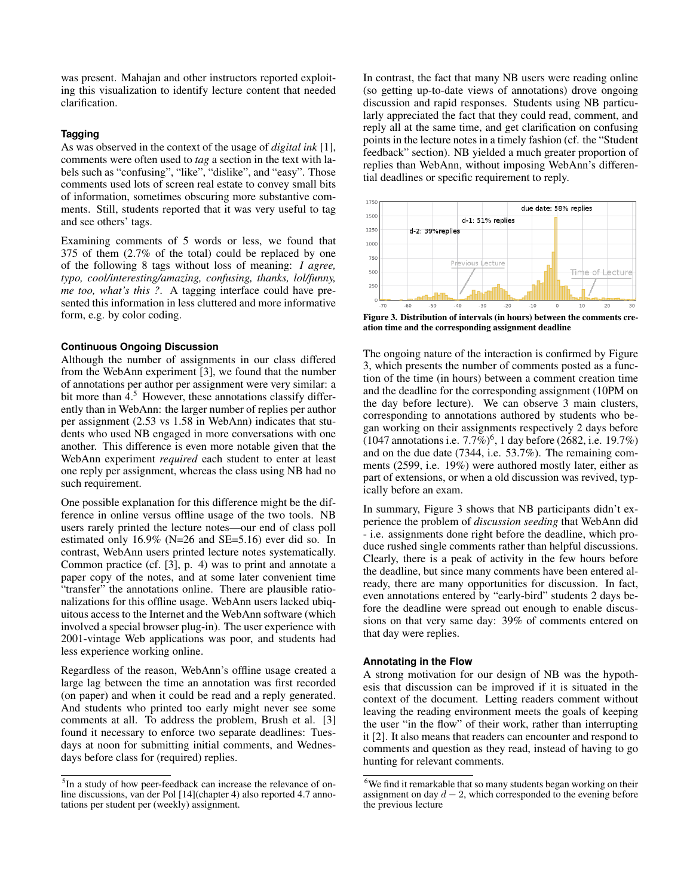was present. Mahajan and other instructors reported exploiting this visualization to identify lecture content that needed clarification.

# **Tagging**

As was observed in the context of the usage of *digital ink* [\[1\]](#page-9-10), comments were often used to *tag* a section in the text with labels such as "confusing", "like", "dislike", and "easy". Those comments used lots of screen real estate to convey small bits of information, sometimes obscuring more substantive comments. Still, students reported that it was very useful to tag and see others' tags.

Examining comments of 5 words or less, we found that 375 of them (2.7% of the total) could be replaced by one of the following 8 tags without loss of meaning: *I agree, typo, cool/interesting/amazing, confusing, thanks, lol/funny, me too, what's this ?*. A tagging interface could have presented this information in less cluttered and more informative form, e.g. by color coding.

## **Continuous Ongoing Discussion**

Although the number of assignments in our class differed from the WebAnn experiment [\[3\]](#page-9-0), we found that the number of annotations per author per assignment were very similar: a bit more than  $4<sup>5</sup>$  $4<sup>5</sup>$  $4<sup>5</sup>$  However, these annotations classify differently than in WebAnn: the larger number of replies per author per assignment (2.53 vs 1.58 in WebAnn) indicates that students who used NB engaged in more conversations with one another. This difference is even more notable given that the WebAnn experiment *required* each student to enter at least one reply per assignment, whereas the class using NB had no such requirement.

One possible explanation for this difference might be the difference in online versus offline usage of the two tools. NB users rarely printed the lecture notes—our end of class poll estimated only 16.9% (N=26 and SE=5.16) ever did so. In contrast, WebAnn users printed lecture notes systematically. Common practice (cf. [\[3\]](#page-9-0), p. 4) was to print and annotate a paper copy of the notes, and at some later convenient time "transfer" the annotations online. There are plausible rationalizations for this offline usage. WebAnn users lacked ubiquitous access to the Internet and the WebAnn software (which involved a special browser plug-in). The user experience with 2001-vintage Web applications was poor, and students had less experience working online.

Regardless of the reason, WebAnn's offline usage created a large lag between the time an annotation was first recorded (on paper) and when it could be read and a reply generated. And students who printed too early might never see some comments at all. To address the problem, Brush et al. [\[3\]](#page-9-0) found it necessary to enforce two separate deadlines: Tuesdays at noon for submitting initial comments, and Wednesdays before class for (required) replies.

In contrast, the fact that many NB users were reading online (so getting up-to-date views of annotations) drove ongoing discussion and rapid responses. Students using NB particularly appreciated the fact that they could read, comment, and reply all at the same time, and get clarification on confusing points in the lecture notes in a timely fashion (cf. the ["Student](#page-6-0) [feedback"](#page-6-0) section). NB yielded a much greater proportion of replies than WebAnn, without imposing WebAnn's differential deadlines or specific requirement to reply.



<span id="page-5-1"></span>Figure 3. Distribution of intervals (in hours) between the comments creation time and the corresponding assignment deadline

The ongoing nature of the interaction is confirmed by Figure [3,](#page-5-1) which presents the number of comments posted as a function of the time (in hours) between a comment creation time and the deadline for the corresponding assignment (10PM on the day before lecture). We can observe 3 main clusters, corresponding to annotations authored by students who began working on their assignments respectively 2 days before  $(1047$  annotations i.e.  $7.7\%$ <sup>[6](#page-5-2)</sup>, 1 day before (2682, i.e. 19.7%) and on the due date (7344, i.e. 53.7%). The remaining comments (2599, i.e. 19%) were authored mostly later, either as part of extensions, or when a old discussion was revived, typically before an exam.

In summary, Figure [3](#page-5-1) shows that NB participants didn't experience the problem of *discussion seeding* that WebAnn did - i.e. assignments done right before the deadline, which produce rushed single comments rather than helpful discussions. Clearly, there is a peak of activity in the few hours before the deadline, but since many comments have been entered already, there are many opportunities for discussion. In fact, even annotations entered by "early-bird" students 2 days before the deadline were spread out enough to enable discussions on that very same day: 39% of comments entered on that day were replies.

#### **Annotating in the Flow**

A strong motivation for our design of NB was the hypothesis that discussion can be improved if it is situated in the context of the document. Letting readers comment without leaving the reading environment meets the goals of keeping the user "in the flow" of their work, rather than interrupting it [\[2\]](#page-9-11). It also means that readers can encounter and respond to comments and question as they read, instead of having to go hunting for relevant comments.

<span id="page-5-0"></span><sup>&</sup>lt;sup>5</sup>In a study of how peer-feedback can increase the relevance of online discussions, van der Pol [\[14\]](#page-9-7)(chapter 4) also reported 4.7 annotations per student per (weekly) assignment.

<span id="page-5-2"></span> $6$ We find it remarkable that so many students began working on their assignment on day  $d - 2$ , which corresponded to the evening before the previous lecture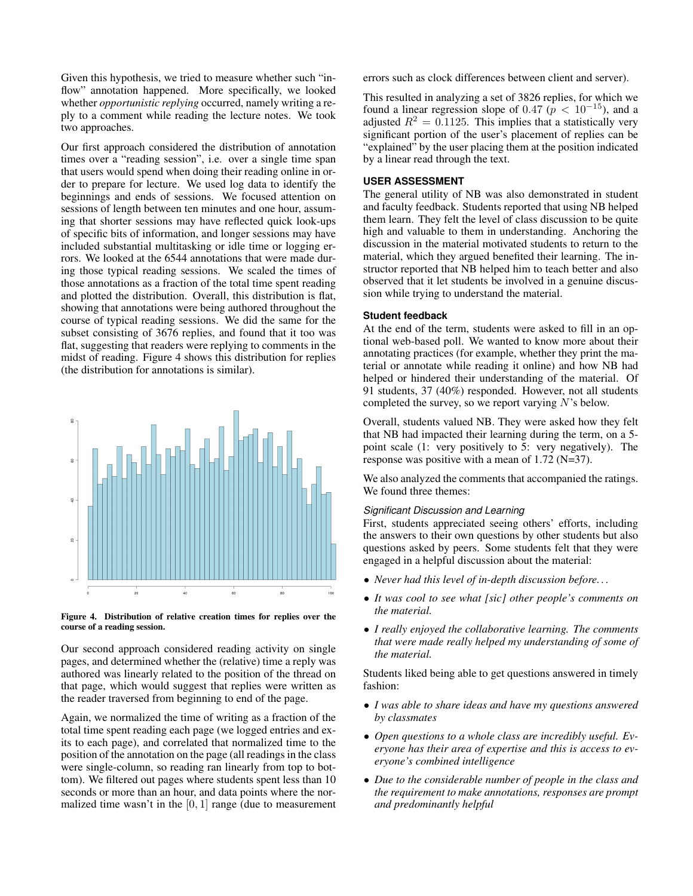Given this hypothesis, we tried to measure whether such "inflow" annotation happened. More specifically, we looked whether *opportunistic replying* occurred, namely writing a reply to a comment while reading the lecture notes. We took two approaches.

Our first approach considered the distribution of annotation times over a "reading session", i.e. over a single time span that users would spend when doing their reading online in order to prepare for lecture. We used log data to identify the beginnings and ends of sessions. We focused attention on sessions of length between ten minutes and one hour, assuming that shorter sessions may have reflected quick look-ups of specific bits of information, and longer sessions may have included substantial multitasking or idle time or logging errors. We looked at the 6544 annotations that were made during those typical reading sessions. We scaled the times of those annotations as a fraction of the total time spent reading and plotted the distribution. Overall, this distribution is flat, showing that annotations were being authored throughout the course of typical reading sessions. We did the same for the subset consisting of 3676 replies, and found that it too was flat, suggesting that readers were replying to comments in the midst of reading. Figure [4](#page-6-1) shows this distribution for replies (the distribution for annotations is similar).



<span id="page-6-1"></span>

Our second approach considered reading activity on single pages, and determined whether the (relative) time a reply was authored was linearly related to the position of the thread on that page, which would suggest that replies were written as the reader traversed from beginning to end of the page.

Again, we normalized the time of writing as a fraction of the total time spent reading each page (we logged entries and exits to each page), and correlated that normalized time to the position of the annotation on the page (all readings in the class were single-column, so reading ran linearly from top to bottom). We filtered out pages where students spent less than 10 seconds or more than an hour, and data points where the normalized time wasn't in the  $[0, 1]$  range (due to measurement errors such as clock differences between client and server).

This resulted in analyzing a set of 3826 replies, for which we found a linear regression slope of 0.47 ( $p < 10^{-15}$ ), and a adjusted  $R^2 = 0.1125$ . This implies that a statistically very significant portion of the user's placement of replies can be "explained" by the user placing them at the position indicated by a linear read through the text.

## **USER ASSESSMENT**

The general utility of NB was also demonstrated in student and faculty feedback. Students reported that using NB helped them learn. They felt the level of class discussion to be quite high and valuable to them in understanding. Anchoring the discussion in the material motivated students to return to the material, which they argued benefited their learning. The instructor reported that NB helped him to teach better and also observed that it let students be involved in a genuine discussion while trying to understand the material.

## <span id="page-6-0"></span>**Student feedback**

At the end of the term, students were asked to fill in an optional web-based poll. We wanted to know more about their annotating practices (for example, whether they print the material or annotate while reading it online) and how NB had helped or hindered their understanding of the material. Of 91 students, 37 (40%) responded. However, not all students completed the survey, so we report varying  $N$ 's below.

Overall, students valued NB. They were asked how they felt that NB had impacted their learning during the term, on a 5 point scale (1: very positively to 5: very negatively). The response was positive with a mean of 1.72 (N=37).

We also analyzed the comments that accompanied the ratings. We found three themes:

## *Significant Discussion and Learning*

First, students appreciated seeing others' efforts, including the answers to their own questions by other students but also questions asked by peers. Some students felt that they were engaged in a helpful discussion about the material:

- *Never had this level of in-depth discussion before. . .*
- *It was cool to see what [sic] other people's comments on the material.*
- *I really enjoyed the collaborative learning. The comments that were made really helped my understanding of some of the material.*

Students liked being able to get questions answered in timely fashion:

- *I was able to share ideas and have my questions answered by classmates*
- *Open questions to a whole class are incredibly useful. Everyone has their area of expertise and this is access to everyone's combined intelligence*
- *Due to the considerable number of people in the class and the requirement to make annotations, responses are prompt and predominantly helpful*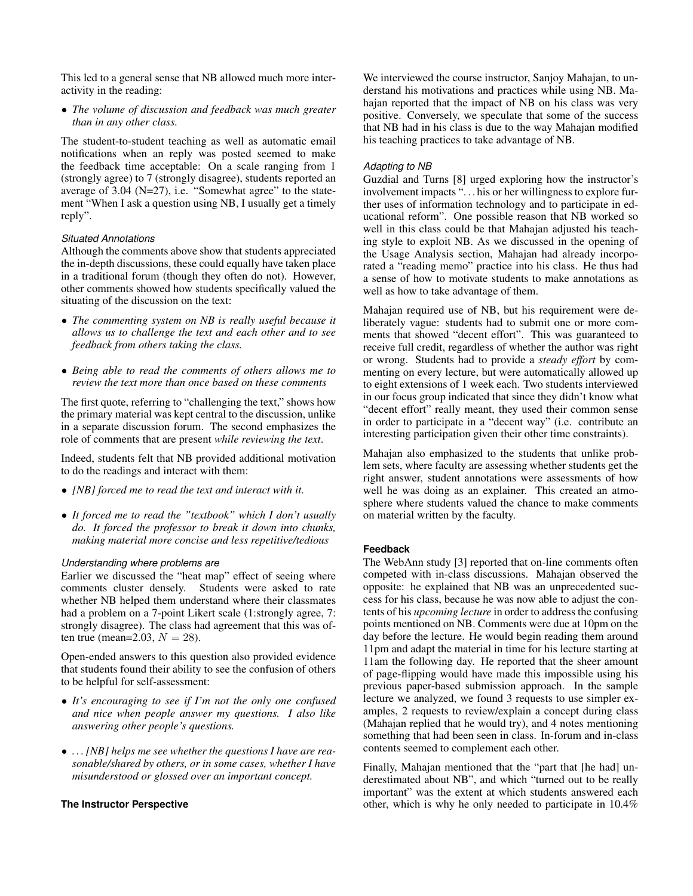This led to a general sense that NB allowed much more interactivity in the reading:

• *The volume of discussion and feedback was much greater than in any other class.*

The student-to-student teaching as well as automatic email notifications when an reply was posted seemed to make the feedback time acceptable: On a scale ranging from 1 (strongly agree) to 7 (strongly disagree), students reported an average of 3.04 (N=27), i.e. "Somewhat agree" to the statement "When I ask a question using NB, I usually get a timely reply".

## *Situated Annotations*

Although the comments above show that students appreciated the in-depth discussions, these could equally have taken place in a traditional forum (though they often do not). However, other comments showed how students specifically valued the situating of the discussion on the text:

- *The commenting system on NB is really useful because it allows us to challenge the text and each other and to see feedback from others taking the class.*
- *Being able to read the comments of others allows me to review the text more than once based on these comments*

The first quote, referring to "challenging the text," shows how the primary material was kept central to the discussion, unlike in a separate discussion forum. The second emphasizes the role of comments that are present *while reviewing the text*.

Indeed, students felt that NB provided additional motivation to do the readings and interact with them:

- *[NB] forced me to read the text and interact with it.*
- *It forced me to read the "textbook" which I don't usually do. It forced the professor to break it down into chunks, making material more concise and less repetitive/tedious*

## *Understanding where problems are*

Earlier we discussed the "heat map" effect of seeing where comments cluster densely. Students were asked to rate whether NB helped them understand where their classmates had a problem on a 7-point Likert scale (1:strongly agree, 7: strongly disagree). The class had agreement that this was often true (mean=2.03,  $N = 28$ ).

Open-ended answers to this question also provided evidence that students found their ability to see the confusion of others to be helpful for self-assessment:

- *It's encouraging to see if I'm not the only one confused and nice when people answer my questions. I also like answering other people's questions.*
- *. . . [NB] helps me see whether the questions I have are reasonable/shared by others, or in some cases, whether I have misunderstood or glossed over an important concept.*

# **The Instructor Perspective**

<span id="page-7-0"></span>We interviewed the course instructor, Sanjoy Mahajan, to understand his motivations and practices while using NB. Mahajan reported that the impact of NB on his class was very positive. Conversely, we speculate that some of the success that NB had in his class is due to the way Mahajan modified his teaching practices to take advantage of NB.

## *Adapting to NB*

Guzdial and Turns [\[8\]](#page-9-1) urged exploring how the instructor's involvement impacts ". . . his or her willingness to explore further uses of information technology and to participate in educational reform". One possible reason that NB worked so well in this class could be that Mahajan adjusted his teaching style to exploit NB. As we discussed in the opening of the [Usage Analysis](#page-2-2) section, Mahajan had already incorporated a "reading memo" practice into his class. He thus had a sense of how to motivate students to make annotations as well as how to take advantage of them.

Mahajan required use of NB, but his requirement were deliberately vague: students had to submit one or more comments that showed "decent effort". This was guaranteed to receive full credit, regardless of whether the author was right or wrong. Students had to provide a *steady effort* by commenting on every lecture, but were automatically allowed up to eight extensions of 1 week each. Two students interviewed in our focus group indicated that since they didn't know what "decent effort" really meant, they used their common sense in order to participate in a "decent way" (i.e. contribute an interesting participation given their other time constraints).

Mahajan also emphasized to the students that unlike problem sets, where faculty are assessing whether students get the right answer, student annotations were assessments of how well he was doing as an explainer. This created an atmosphere where students valued the chance to make comments on material written by the faculty.

# **Feedback**

The WebAnn study [\[3\]](#page-9-0) reported that on-line comments often competed with in-class discussions. Mahajan observed the opposite: he explained that NB was an unprecedented success for his class, because he was now able to adjust the contents of his *upcoming lecture* in order to address the confusing points mentioned on NB. Comments were due at 10pm on the day before the lecture. He would begin reading them around 11pm and adapt the material in time for his lecture starting at 11am the following day. He reported that the sheer amount of page-flipping would have made this impossible using his previous paper-based submission approach. In the sample lecture we analyzed, we found 3 requests to use simpler examples, 2 requests to review/explain a concept during class (Mahajan replied that he would try), and 4 notes mentioning something that had been seen in class. In-forum and in-class contents seemed to complement each other.

Finally, Mahajan mentioned that the "part that [he had] underestimated about NB", and which "turned out to be really important" was the extent at which students answered each other, which is why he only needed to participate in 10.4%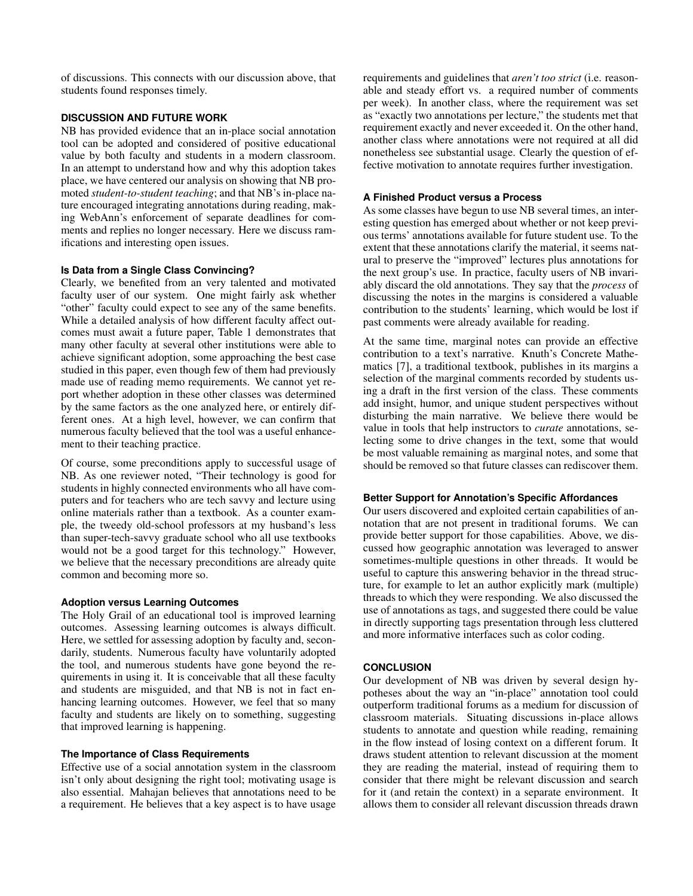of discussions. This connects with our discussion above, that students found responses timely.

# **DISCUSSION AND FUTURE WORK**

NB has provided evidence that an in-place social annotation tool can be adopted and considered of positive educational value by both faculty and students in a modern classroom. In an attempt to understand how and why this adoption takes place, we have centered our analysis on showing that NB promoted *student-to-student teaching*; and that NB's in-place nature encouraged integrating annotations during reading, making WebAnn's enforcement of separate deadlines for comments and replies no longer necessary. Here we discuss ramifications and interesting open issues.

# **Is Data from a Single Class Convincing?**

Clearly, we benefited from an very talented and motivated faculty user of our system. One might fairly ask whether "other" faculty could expect to see any of the same benefits. While a detailed analysis of how different faculty affect outcomes must await a future paper, Table [1](#page-2-1) demonstrates that many other faculty at several other institutions were able to achieve significant adoption, some approaching the best case studied in this paper, even though few of them had previously made use of reading memo requirements. We cannot yet report whether adoption in these other classes was determined by the same factors as the one analyzed here, or entirely different ones. At a high level, however, we can confirm that numerous faculty believed that the tool was a useful enhancement to their teaching practice.

Of course, some preconditions apply to successful usage of NB. As one reviewer noted, "Their technology is good for students in highly connected environments who all have computers and for teachers who are tech savvy and lecture using online materials rather than a textbook. As a counter example, the tweedy old-school professors at my husband's less than super-tech-savvy graduate school who all use textbooks would not be a good target for this technology." However, we believe that the necessary preconditions are already quite common and becoming more so.

# **Adoption versus Learning Outcomes**

The Holy Grail of an educational tool is improved learning outcomes. Assessing learning outcomes is always difficult. Here, we settled for assessing adoption by faculty and, secondarily, students. Numerous faculty have voluntarily adopted the tool, and numerous students have gone beyond the requirements in using it. It is conceivable that all these faculty and students are misguided, and that NB is not in fact enhancing learning outcomes. However, we feel that so many faculty and students are likely on to something, suggesting that improved learning is happening.

# **The Importance of Class Requirements**

Effective use of a social annotation system in the classroom isn't only about designing the right tool; motivating usage is also essential. Mahajan believes that annotations need to be a requirement. He believes that a key aspect is to have usage requirements and guidelines that *aren't too strict* (i.e. reasonable and steady effort vs. a required number of comments per week). In another class, where the requirement was set as "exactly two annotations per lecture," the students met that requirement exactly and never exceeded it. On the other hand, another class where annotations were not required at all did nonetheless see substantial usage. Clearly the question of effective motivation to annotate requires further investigation.

# **A Finished Product versus a Process**

As some classes have begun to use NB several times, an interesting question has emerged about whether or not keep previous terms' annotations available for future student use. To the extent that these annotations clarify the material, it seems natural to preserve the "improved" lectures plus annotations for the next group's use. In practice, faculty users of NB invariably discard the old annotations. They say that the *process* of discussing the notes in the margins is considered a valuable contribution to the students' learning, which would be lost if past comments were already available for reading.

At the same time, marginal notes can provide an effective contribution to a text's narrative. Knuth's Concrete Mathematics [\[7\]](#page-9-12), a traditional textbook, publishes in its margins a selection of the marginal comments recorded by students using a draft in the first version of the class. These comments add insight, humor, and unique student perspectives without disturbing the main narrative. We believe there would be value in tools that help instructors to *curate* annotations, selecting some to drive changes in the text, some that would be most valuable remaining as marginal notes, and some that should be removed so that future classes can rediscover them.

# **Better Support for Annotation's Specific Affordances**

Our users discovered and exploited certain capabilities of annotation that are not present in traditional forums. We can provide better support for those capabilities. Above, we discussed how geographic annotation was leveraged to answer sometimes-multiple questions in other threads. It would be useful to capture this answering behavior in the thread structure, for example to let an author explicitly mark (multiple) threads to which they were responding. We also discussed the use of annotations as tags, and suggested there could be value in directly supporting tags presentation through less cluttered and more informative interfaces such as color coding.

# **CONCLUSION**

Our development of NB was driven by several design hypotheses about the way an "in-place" annotation tool could outperform traditional forums as a medium for discussion of classroom materials. Situating discussions in-place allows students to annotate and question while reading, remaining in the flow instead of losing context on a different forum. It draws student attention to relevant discussion at the moment they are reading the material, instead of requiring them to consider that there might be relevant discussion and search for it (and retain the context) in a separate environment. It allows them to consider all relevant discussion threads drawn